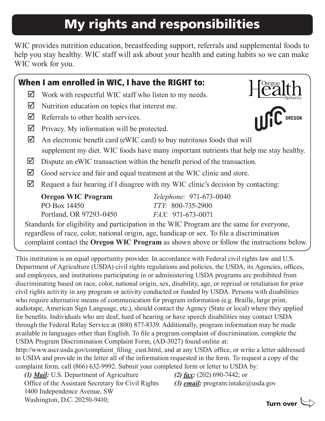# My rights and responsibilities

WIC provides nutrition education, breastfeeding support, referrals and supplemental foods to help you stay healthy. WIC staff will ask about your health and eating habits so we can make WIC work for you.

#### When I am enrolled in WIC, I have the RIGHT to:  $H_{\text{Call}}^{\text{Oregon}}$  $\boxtimes$  Work with respectful WIC staff who listen to my needs.  $\boxtimes$  Nutrition education on topics that interest me. **IIIIC** OREGON  $\triangledown$  Referrals to other health services.  $\triangledown$  Privacy. My information will be protected.  $\Box$  An electronic benefit card (eWIC card) to buy nutritious foods that will supplement my diet. WIC foods have many important nutrients that help me stay healthy.  $\boxtimes$  Dispute an eWIC transaction within the benefit period of the transaction.  $\boxtimes$  Good service and fair and equal treatment at the WIC clinic and store.  $\boxtimes$  Request a fair hearing if I disagree with my WIC clinic's decision by contacting: **Oregon WIC Program** *Telephone:* 971-673-0040 PO Box 14450 *TTY:* 800-735-2900 Portland, OR 97293-0450 *FAX:* 971-673-0071 Standards for eligibility and participation in the WIC Program are the same for everyone, regardless of race, color, national origin, age, handicap or sex. To file a discrimination complaint contact the **Oregon WIC Program** as shown above or follow the instructions below.

This institution is an equal opportunity provider. In accordance with Federal civil rights law and U.S. Department of Agriculture (USDA) civil rights regulations and policies, the USDA, its Agencies, offices, and employees, and institutions participating in or administering USDA programs are prohibited from discriminating based on race, color, national origin, sex, disability, age, or reprisal or retaliation for prior civil rights activity in any program or activity conducted or funded by USDA. Persons with disabilities who require alternative means of communication for program information (e.g. Braille, large print, audiotape, American Sign Language, etc.), should contact the Agency (State or local) where they applied for benefits. Individuals who are deaf, hard of hearing or have speech disabilities may contact USDA through the Federal Relay Service at (800) 877-8339. Additionally, program information may be made available in languages other than English. To file a program complaint of discrimination, complete the USDA Program Discrimination Complaint Form, (AD-3027) found online at:

http://www.ascr.usda.gov/complaint\_filing\_cust.html, and at any USDA office, or write a letter addressed to USDA and provide in the letter all of the information requested in the form. To request a copy of the complaint form, call (866) 632-9992. Submit your completed form or letter to USDA by:

*(1) Mail:* U.S. Department of Agriculture Office of the Assistant Secretary for Civil Rights 1400 Independence Avenue, SW Washington, D.C. 20250-9410;

*(2) fax:* (202) 690-7442; or

*(3) email:* program.intake@usda.gov